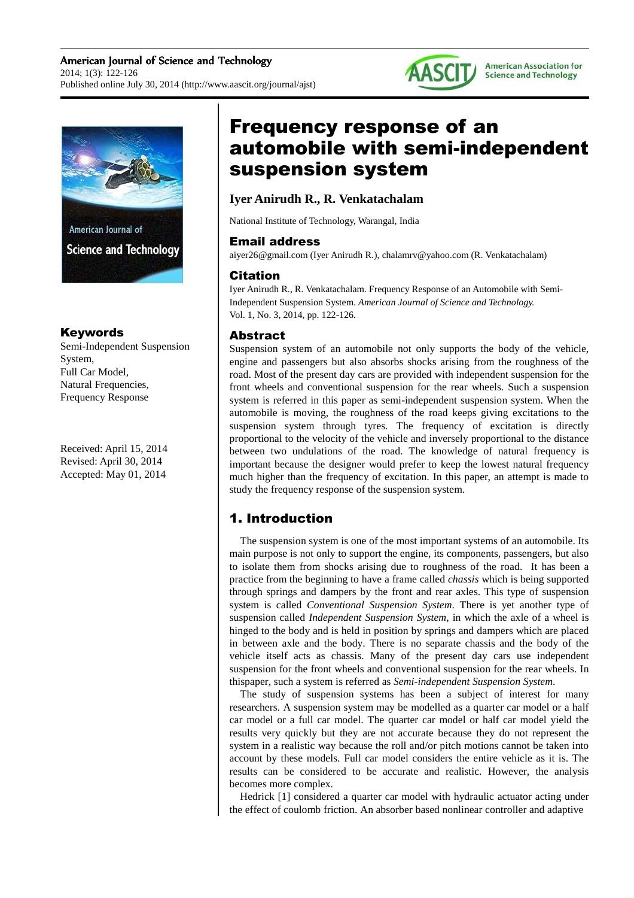



### Keywords

Semi-Independent Suspension System, Full Car Model, Natural Frequencies, Frequency Response

Received: April 15, 2014 Revised: April 30, 2014 Accepted: May 01, 2014

# Frequency response of an automobile with semi-independent suspension system

### **Iyer Anirudh R., R. Venkatachalam**

National Institute of Technology, Warangal, India

### Email address

aiyer26@gmail.com (Iyer Anirudh R.), chalamrv@yahoo.com (R. Venkatachalam)

### Citation

Iyer Anirudh R., R. Venkatachalam. Frequency Response of an Automobile with Semi-Independent Suspension System. *American Journal of Science and Technology.* Vol. 1, No. 3, 2014, pp. 122-126.

### Abstract

Suspension system of an automobile not only supports the body of the vehicle, engine and passengers but also absorbs shocks arising from the roughness of the road. Most of the present day cars are provided with independent suspension for the front wheels and conventional suspension for the rear wheels. Such a suspension system is referred in this paper as semi-independent suspension system. When the automobile is moving, the roughness of the road keeps giving excitations to the suspension system through tyres. The frequency of excitation is directly proportional to the velocity of the vehicle and inversely proportional to the distance between two undulations of the road. The knowledge of natural frequency is important because the designer would prefer to keep the lowest natural frequency much higher than the frequency of excitation. In this paper, an attempt is made to study the frequency response of the suspension system.

# 1. Introduction

The suspension system is one of the most important systems of an automobile. Its main purpose is not only to support the engine, its components, passengers, but also to isolate them from shocks arising due to roughness of the road. It has been a practice from the beginning to have a frame called *chassis* which is being supported through springs and dampers by the front and rear axles. This type of suspension system is called *Conventional Suspension System*. There is yet another type of suspension called *Independent Suspension System*, in which the axle of a wheel is hinged to the body and is held in position by springs and dampers which are placed in between axle and the body. There is no separate chassis and the body of the vehicle itself acts as chassis. Many of the present day cars use independent suspension for the front wheels and conventional suspension for the rear wheels. In thispaper, such a system is referred as *Semi-independent Suspension System*.

The study of suspension systems has been a subject of interest for many researchers. A suspension system may be modelled as a quarter car model or a half car model or a full car model. The quarter car model or half car model yield the results very quickly but they are not accurate because they do not represent the system in a realistic way because the roll and/or pitch motions cannot be taken into account by these models. Full car model considers the entire vehicle as it is. The results can be considered to be accurate and realistic. However, the analysis becomes more complex.

Hedrick [1] considered a quarter car model with hydraulic actuator acting under the effect of coulomb friction. An absorber based nonlinear controller and adaptive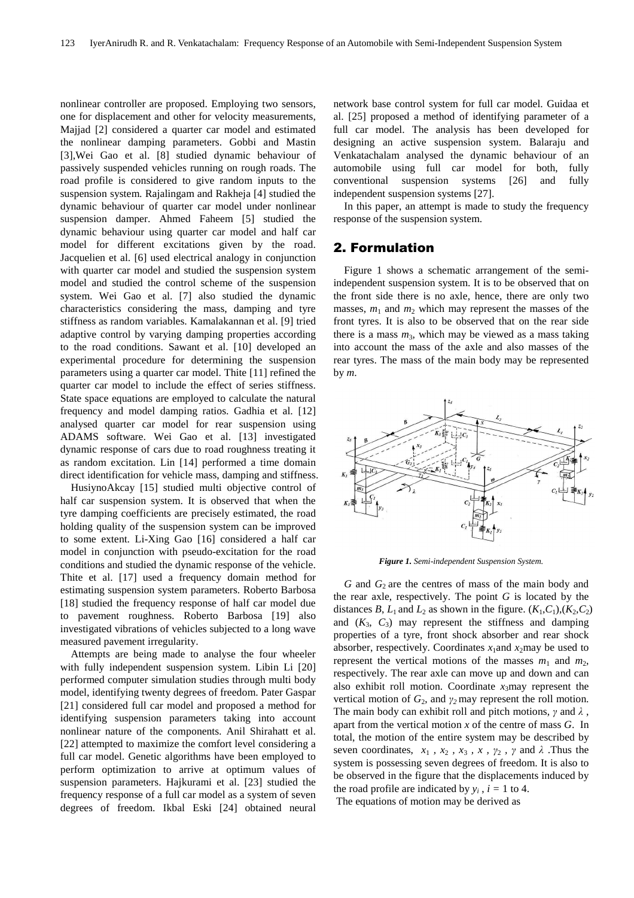nonlinear controller are proposed. Employing two sensors, one for displacement and other for velocity measurements, Majjad [2] considered a quarter car model and estimated the nonlinear damping parameters. Gobbi and Mastin [3],Wei Gao et al. [8] studied dynamic behaviour of passively suspended vehicles running on rough roads. The road profile is considered to give random inputs to the suspension system. Rajalingam and Rakheja [4] studied the dynamic behaviour of quarter car model under nonlinear suspension damper. Ahmed Faheem [5] studied the dynamic behaviour using quarter car model and half car model for different excitations given by the road. Jacquelien et al. [6] used electrical analogy in conjunction with quarter car model and studied the suspension system model and studied the control scheme of the suspension system. Wei Gao et al. [7] also studied the dynamic characteristics considering the mass, damping and tyre stiffness as random variables. Kamalakannan et al. [9] tried adaptive control by varying damping properties according to the road conditions. Sawant et al. [10] developed an experimental procedure for determining the suspension parameters using a quarter car model. Thite [11] refined the quarter car model to include the effect of series stiffness. State space equations are employed to calculate the natural frequency and model damping ratios. Gadhia et al. [12] analysed quarter car model for rear suspension using ADAMS software. Wei Gao et al. [13] investigated dynamic response of cars due to road roughness treating it as random excitation. Lin [14] performed a time domain direct identification for vehicle mass, damping and stiffness.

HusiynoAkcay [15] studied multi objective control of half car suspension system. It is observed that when the tyre damping coefficients are precisely estimated, the road holding quality of the suspension system can be improved to some extent. Li-Xing Gao [16] considered a half car model in conjunction with pseudo-excitation for the road conditions and studied the dynamic response of the vehicle. Thite et al. [17] used a frequency domain method for estimating suspension system parameters. Roberto Barbosa [18] studied the frequency response of half car model due to pavement roughness. Roberto Barbosa [19] also investigated vibrations of vehicles subjected to a long wave measured pavement irregularity.

Attempts are being made to analyse the four wheeler with fully independent suspension system. Libin Li [20] performed computer simulation studies through multi body model, identifying twenty degrees of freedom. Pater Gaspar [21] considered full car model and proposed a method for identifying suspension parameters taking into account nonlinear nature of the components. Anil Shirahatt et al. [22] attempted to maximize the comfort level considering a full car model. Genetic algorithms have been employed to perform optimization to arrive at optimum values of suspension parameters. Hajkurami et al. [23] studied the frequency response of a full car model as a system of seven degrees of freedom. Ikbal Eski [24] obtained neural

network base control system for full car model. Guidaa et al. [25] proposed a method of identifying parameter of a full car model. The analysis has been developed for designing an active suspension system. Balaraju and Venkatachalam analysed the dynamic behaviour of an automobile using full car model for both, fully conventional suspension systems [26] and fully independent suspension systems [27].

In this paper, an attempt is made to study the frequency response of the suspension system.

### 2. Formulation

Figure 1 shows a schematic arrangement of the semiindependent suspension system. It is to be observed that on the front side there is no axle, hence, there are only two masses,  $m_1$  and  $m_2$  which may represent the masses of the front tyres. It is also to be observed that on the rear side there is a mass  $m_3$ , which may be viewed as a mass taking into account the mass of the axle and also masses of the rear tyres. The mass of the main body may be represented by *m*.



*Figure 1. Semi-independent Suspension System.* 

*G* and *G*<sub>2</sub> are the centres of mass of the main body and the rear axle, respectively. The point  $G$  is located by the distances *B*,  $L_1$  and  $L_2$  as shown in the figure.  $(K_1, C_1), (K_2, C_2)$ and  $(K_3, C_3)$  may represent the stiffness and damping properties of a tyre, front shock absorber and rear shock absorber, respectively. Coordinates  $x_1$  and  $x_2$  may be used to represent the vertical motions of the masses  $m_1$  and  $m_2$ , respectively. The rear axle can move up and down and can also exhibit roll motion. Coordinate *x*3may represent the vertical motion of *G*2, and *γ2* may represent the roll motion. The main body can exhibit roll and pitch motions, *γ* and *λ* , apart from the vertical motion *x* of the centre of mass *G*. In total, the motion of the entire system may be described by seven coordinates,  $x_1$ ,  $x_2$ ,  $x_3$ ,  $x$ ,  $y_2$ ,  $y$  and  $\lambda$ . Thus the system is possessing seven degrees of freedom. It is also to be observed in the figure that the displacements induced by the road profile are indicated by  $y_i$ ,  $i = 1$  to 4.

The equations of motion may be derived as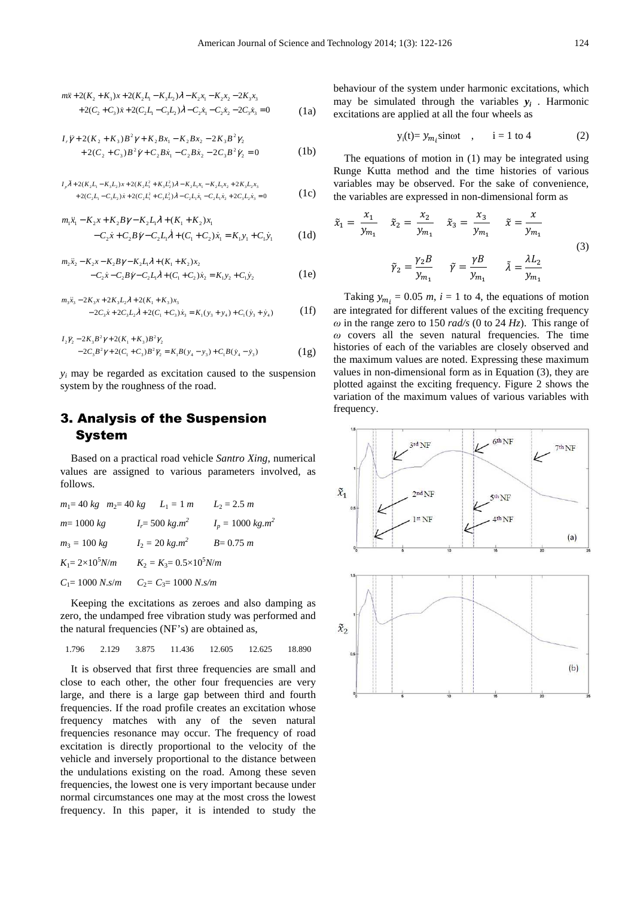$$
m\ddot{x} + 2(K_2 + K_3)x + 2(K_2L_1 - K_3L_2)\lambda - K_2x_1 - K_2x_2 - 2K_3x_3
$$
  
+2(C<sub>2</sub> + C<sub>3</sub>) $\dot{x}$  + 2(C<sub>2</sub>L<sub>1</sub> - C<sub>3</sub>L<sub>2</sub>) $\dot{\lambda}$  - C<sub>2</sub> $\dot{x}_1$  - C<sub>2</sub> $\dot{x}_2$  - 2C<sub>3</sub> $\dot{x}_3$  = 0 (1a)

$$
I_{\tau}\ddot{\gamma} + 2(K_{2} + K_{3})B^{2}\gamma + K_{2}Bx_{1} - K_{2}Bx_{2} - 2K_{3}B^{2}\gamma_{2} + 2(C_{2} + C_{3})B^{2}\dot{\gamma} + C_{2}B\dot{x}_{1} - C_{2}B\dot{x}_{2} - 2C_{3}B^{2}\dot{\gamma}_{2} = 0
$$
 (1b)

$$
I_{\rho}\ddot{\lambda} + 2(K_{2}L_{1} - K_{3}L_{2})x + 2(K_{2}L_{1}^{2} + K_{3}L_{2}^{2})\lambda - K_{2}L_{1}x_{1} - K_{2}L_{1}x_{2} + 2K_{3}L_{2}x_{3} + 2(C_{2}L_{1} - C_{3}L_{2})x + 2(C_{2}L_{1}^{2} + C_{3}L_{2}^{2})\dot{\lambda} - C_{2}L_{1}\dot{x}_{1} - C_{2}L_{1}\dot{x}_{2} + 2C_{3}L_{2}\dot{x}_{3} = 0
$$
\n(1c)

$$
m_1\ddot{x}_1 - K_2x + K_2B\gamma - K_2L_1\lambda + (K_1 + K_2)x_1
$$
  
- C\_2\dot{x} + C\_2B\dot{\gamma} - C\_2L\_1\dot{\lambda} + (C\_1 + C\_2)\dot{x}\_1 = K\_1y\_1 + C\_1\dot{y}\_1 \qquad (1d)

$$
m_2\ddot{x}_2 - K_2x - K_2B\gamma - K_2L_1\lambda + (K_1 + K_2)x_2
$$
  
-C<sub>2</sub> $\dot{x}$ -C<sub>2</sub> $B\dot{\gamma}$ -C<sub>2</sub> $L_1\dot{\lambda}$ + (C<sub>1</sub> + C<sub>2</sub>) $\dot{x}_2$  = K<sub>1</sub> $y_2$ +C<sub>1</sub> $\dot{y}_2$  (1e)

$$
m_3\ddot{x}_3 - 2K_3x + 2K_3L_2\lambda + 2(K_1 + K_3)x_3
$$
  
-2C<sub>3</sub> $\dot{x}$  + 2C<sub>3</sub> $L_2\dot{\lambda}$  + 2(C<sub>1</sub> + C<sub>3</sub>) $\dot{x}_3$  = K<sub>1</sub>(y<sub>3</sub> + y<sub>4</sub>) + C<sub>1</sub>( $\dot{y}_3$  +  $\dot{y}_4$ ) (1f)

$$
I_2\ddot{y}_2 - 2K_3B^2\gamma + 2(K_1 + K_3)B^2\gamma_2
$$
  
-2C\_3B^2\gamma + 2(C\_1 + C\_3)B^2\ddot{y}\_2 = K\_1B(y\_4 - y\_3) + C\_1B(\dot{y}\_4 - \dot{y}\_3) (1g)

 $y_i$  may be regarded as excitation caused to the suspension system by the roughness of the road.

## 3. Analysis of the Suspension System

Based on a practical road vehicle *Santro Xing*, numerical values are assigned to various parameters involved, as follows.

| $m_1 = 40 \text{ kg}$ $m_2 = 40 \text{ kg}$ $L_1 = 1 \text{ m}$ |                                   | $L_2 = 2.5 m$       |
|-----------------------------------------------------------------|-----------------------------------|---------------------|
| $m = 1000 kg$                                                   | $I_r = 500 \ kg.m^2$              | $I_p = 1000 kg.m^2$ |
| $m_3 = 100 \text{ kg}$                                          | $I_2 = 20 \text{ kg} \cdot m^2$   | $B = 0.75 m$        |
| $K_1 = 2 \times 10^5 N/m$                                       | $K_2 = K_3 = 0.5 \times 10^5 N/m$ |                     |
| $C_1 = 1000 N \cdot s/m$                                        | $C_2 = C_3 = 1000 N \cdot s/m$    |                     |

Keeping the excitations as zeroes and also damping as zero, the undamped free vibration study was performed and the natural frequencies (NF's) are obtained as,

1.796 2.129 3.875 11.436 12.605 12.625 18.890

It is observed that first three frequencies are small and close to each other, the other four frequencies are very large, and there is a large gap between third and fourth frequencies. If the road profile creates an excitation whose frequency matches with any of the seven natural frequencies resonance may occur. The frequency of road excitation is directly proportional to the velocity of the vehicle and inversely proportional to the distance between the undulations existing on the road. Among these seven frequencies, the lowest one is very important because under normal circumstances one may at the most cross the lowest frequency. In this paper, it is intended to study the behaviour of the system under harmonic excitations, which may be simulated through the variables  $y_i$ . Harmonic excitations are applied at all the four wheels as

$$
y_i(t) = y_{m_i} \sin \omega t \quad , \quad i = 1 \text{ to } 4 \tag{2}
$$

The equations of motion in (1) may be integrated using Runge Kutta method and the time histories of various variables may be observed. For the sake of convenience, the variables are expressed in non-dimensional form as

$$
\tilde{x}_1 = \frac{x_1}{y_{m_1}} \quad \tilde{x}_2 = \frac{x_2}{y_{m_1}} \quad \tilde{x}_3 = \frac{x_3}{y_{m_1}} \quad \tilde{x} = \frac{x}{y_{m_1}}
$$
\n
$$
\tilde{y}_2 = \frac{\gamma_2 B}{y_{m_1}} \quad \tilde{y} = \frac{\gamma B}{y_{m_1}} \quad \tilde{\lambda} = \frac{\lambda L_2}{y_{m_1}}
$$
\n(3)

Taking  $y_{m_i} = 0.05$  *m*,  $i = 1$  to 4, the equations of motion are integrated for different values of the exciting frequency  $\omega$  in the range zero to 150 *rad/s* (0 to 24 *Hz*). This range of  $\omega$  covers all the seven natural frequencies. The time histories of each of the variables are closely observed and the maximum values are noted. Expressing these maximum values in non-dimensional form as in Equation (3), they are plotted against the exciting frequency. Figure 2 shows the variation of the maximum values of various variables with frequency.

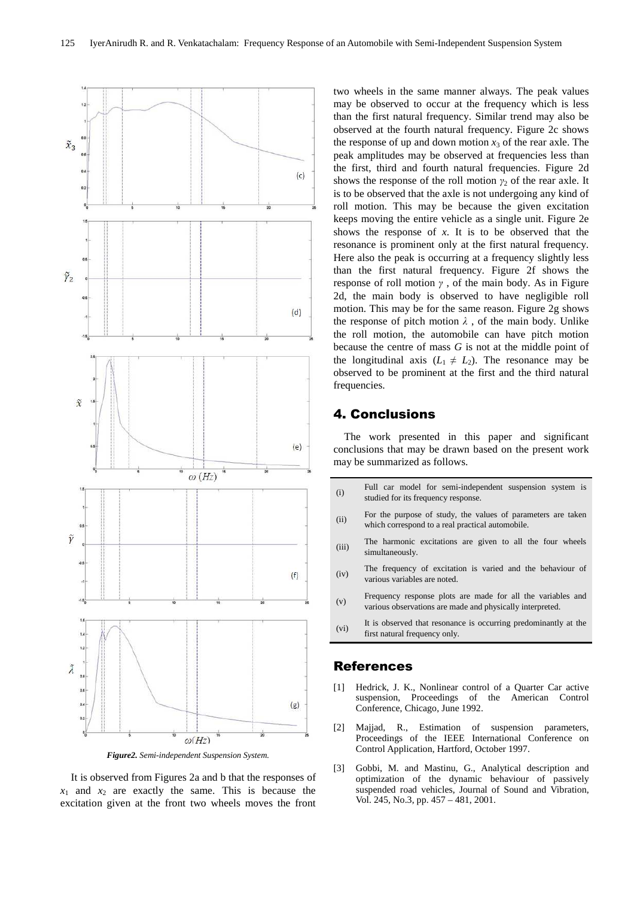

*Figure2. Semi-independent Suspension System.* 

It is observed from Figures 2a and b that the responses of  $x_1$  and  $x_2$  are exactly the same. This is because the excitation given at the front two wheels moves the front

two wheels in the same manner always. The peak values may be observed to occur at the frequency which is less than the first natural frequency. Similar trend may also be observed at the fourth natural frequency. Figure 2c shows the response of up and down motion  $x_3$  of the rear axle. The peak amplitudes may be observed at frequencies less than the first, third and fourth natural frequencies. Figure 2d shows the response of the roll motion  $\gamma_2$  of the rear axle. It is to be observed that the axle is not undergoing any kind of roll motion. This may be because the given excitation keeps moving the entire vehicle as a single unit. Figure 2e shows the response of *x*. It is to be observed that the resonance is prominent only at the first natural frequency. Here also the peak is occurring at a frequency slightly less than the first natural frequency. Figure 2f shows the response of roll motion *γ* , of the main body. As in Figure 2d, the main body is observed to have negligible roll motion. This may be for the same reason. Figure 2g shows the response of pitch motion  $\lambda$ , of the main body. Unlike the roll motion, the automobile can have pitch motion because the centre of mass *G* is not at the middle point of the longitudinal axis  $(L_1 \neq L_2)$ . The resonance may be observed to be prominent at the first and the third natural frequencies.

### 4. Conclusions

The work presented in this paper and significant conclusions that may be drawn based on the present work may be summarized as follows.

- (i) Full car model for semi-independent suspension system is studied for its frequency response.
- (ii) For the purpose of study, the values of parameters are taken which correspond to a real practical automobile.
- (iii) The harmonic excitations are given to all the four wheels simultaneously.
- (iv) The frequency of excitation is varied and the behaviour of various variables are noted.
- (v) Frequency response plots are made for all the variables and various observations are made and physically interpreted.
- (vi) It is observed that resonance is occurring predominantly at the first natural frequency only.

### References

- [1] Hedrick, J. K., Nonlinear control of a Quarter Car active suspension, Proceedings of the American Control Conference, Chicago, June 1992.
- [2] Majjad, R., Estimation of suspension parameters, Proceedings of the IEEE International Conference on Control Application, Hartford, October 1997.
- [3] Gobbi, M. and Mastinu, G., Analytical description and optimization of the dynamic behaviour of passively suspended road vehicles, Journal of Sound and Vibration, Vol. 245, No.3, pp. 457 – 481, 2001.